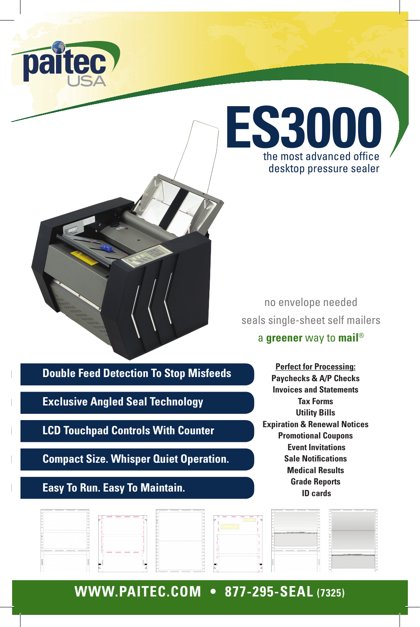



no envelope needed seals single-sheet self mailers

#### a **greener** way to **mail**®

**Double Feed Detection To Stop Misfeeds**

**Exclusive Angled Seal Technology**

**LCD Touchpad Controls With Counter**

**Compact Size. Whisper Quiet Operation.**

### **Easy To Run. Easy To Maintain.**

**Perfect for Processing: Paychecks & A/P Checks Invoices and Statements Tax Forms Utility Bills Expiration & Renewal Notices Promotional Coupons Event Invitations Sale Notifications Medical Results Grade Reports ID cards** 

| the contract of the contract of the contract of the con- |                                           | <b><i>The most model and</i></b>                                                          |                                                             |                                                     |
|----------------------------------------------------------|-------------------------------------------|-------------------------------------------------------------------------------------------|-------------------------------------------------------------|-----------------------------------------------------|
|                                                          |                                           |                                                                                           |                                                             |                                                     |
|                                                          |                                           |                                                                                           |                                                             |                                                     |
|                                                          |                                           |                                                                                           |                                                             |                                                     |
|                                                          |                                           |                                                                                           |                                                             |                                                     |
|                                                          |                                           |                                                                                           |                                                             |                                                     |
|                                                          |                                           |                                                                                           | Sanangerenan Michigan (Michigan Michigan Michigan Michigan) |                                                     |
|                                                          |                                           | When you can be a sense to be a sense to be a sense of the                                |                                                             |                                                     |
|                                                          |                                           |                                                                                           |                                                             |                                                     |
|                                                          |                                           |                                                                                           |                                                             |                                                     |
|                                                          |                                           |                                                                                           |                                                             |                                                     |
|                                                          |                                           |                                                                                           |                                                             |                                                     |
|                                                          |                                           |                                                                                           |                                                             |                                                     |
|                                                          |                                           |                                                                                           |                                                             |                                                     |
|                                                          |                                           |                                                                                           |                                                             |                                                     |
| I am you want the first                                  |                                           | -------------------------                                                                 |                                                             |                                                     |
|                                                          |                                           | where the course of the course of the course of the course of the course of the course of |                                                             | "accessories of the ESSA MARINES in accessories and |
|                                                          |                                           |                                                                                           |                                                             |                                                     |
|                                                          |                                           |                                                                                           |                                                             |                                                     |
|                                                          |                                           |                                                                                           |                                                             |                                                     |
|                                                          |                                           |                                                                                           |                                                             |                                                     |
|                                                          |                                           |                                                                                           |                                                             |                                                     |
|                                                          |                                           |                                                                                           |                                                             |                                                     |
|                                                          | ations are present the control process in |                                                                                           |                                                             |                                                     |

# **WWW.PAITEC.COM • 877-295-SEAL (7325)**